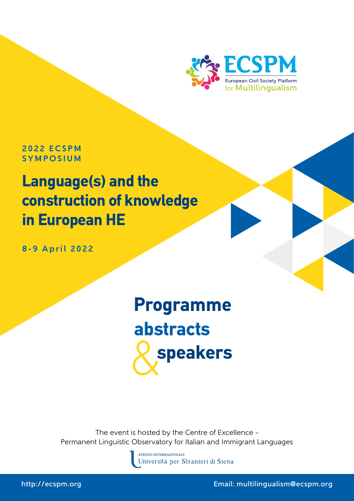

**2 0 2 2 E C S P M SYMPOSIUM** 

## **Language(s) and the construction of knowledge in European HE**

**8-9 April 2022**

# & **speakers Programme abstracts**

The event is hosted by the Centre of Excellence – Permanent Linguistic Observatory for Italian and Immigrant Languages



http://ecspm.org Email: multilingualism@ecspm.org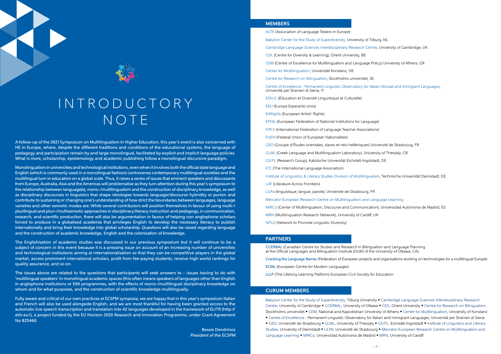



## I N T R O D U C T O R Y NOTE

A follow-up of the 2021 Symposium on Multilingualism in Higher Education, this year's event is also concerned with HE in Europe, where, despite the different traditions and conditions of the educational systems, the language of pedagogy and partcipiation remain by and large monolingual, facilitated by explicit and implicit language policies. What is more, scholarship, epistemology and academic publishing follow a monolingual discursive paradigm.

Monolingualism in universities and technological institutions, even when it involves both the official state language and English (which is commonly used in a monolingual fashion) contravenes contemporary multilingual societies and the multilingual turn in education on a global scale. Thus, it raises a series of issues that eminent speakers and discussants from Europe, Australia, Asia and the Americas will problematise as they turn attention during this year's symposium to the relationship between language(s), mono-/multilingualism and the construction of disciplinary knowledge, as well as disciplinary discourses in linguistics that shape ideologies towards language/discourse hybridity or purism and contribute to sustaining or changing one's understanding of how strict the boundaries between languages, language varieties and other semiotic modes are. While several contributors will position themselves in favour of using multi-/ plurilingual and pluri-/multisemiotic approaches in disciplinary literacy instruction and pedagogy, in communication, research, and scientific production, there will also be argumentation in favour of helping non anglophone scholars forced to produce in a globalised academia that privileges English to develop the necessary literacy to publish internationally and bring their knowledge into global scholarship. Questions will also be raised regarding language and the construction of academic knowledge, English and the colonisation of knowledge.

The Englishisation of academic studies was discussed in our previous symposium but it will continue to be a subject of concern in this event because it is a pressing issue on account of an increasing number of universities and technological institutions aiming at internationalisation so that they can be competitive players in the global market, access prominent international scholars, profit from fee-paying students, receive high world rankings for quality assurance, and so on.

The issues above are related to the questions that participants will seek answers to – issues having to do with 'multilingual speakers' in monolingual academic spaces (this often means speakers of languages other than English in anglophone institutions or EMI programmes, with the effects of mono-/multilingual disciplinary knowledge on whom and for what purposes, and the construction of scientific knowledge multilingually.

> Babylon Center for the Study of Superdiversity, Tilburg University • Cambridge Language Sciences Interdisciplinary Research Centre, University of Cambridge • CCERBAL, University of Ottawa • CDL, Ghent University • Centre for Research on Bilingualism, Stockholms universitet • CEM, National and Kapodistrian University of Athens • Center for Multilingualism, University of Konstanz • Centre of Excellence - Permanent Linguistic Observatory for Italian and Immigrant Languages, Università per Stranieri di Siena • GEO, Université de Strasbourg • GLML, University of Thessaly • GS/FL, Eichstätt-Ingolstadt • Institute of Linguistics and Literary Studies, University of Darmstadt • LiLPA, Université de Strasbourg • Mercator-European Research Centre on Multilingualism and Language Learning • MIRCo, Universidad Autónoma de Madrid • MRN, University of Cardiff

Fully aware and critical of our own practices at ECSPM symposia, we are happy that in this year's symposium Italian and French will also be used alongside English, and we are most thankful for having been granted access to the automatic live speech transcription and translation into 42 languages developed in the framework of ELITR (http:// elitr.eu/), a project funded by the EU Horizon 2020 Research and Innovation Programme, under Grant Agreement No 825460.

> Bessie Dendrinos President of the ECSPM

### **MEMBERS**

ALTE (Association of Language Testers in Europe)

Babylon Center for the Study of Superdiversity, University of Tilburg, NL

Cambridge Language Sciences Interdisciplinary Research Centre, University of Cambridge, UK

CDL (Centre for Diversity & Learning), Ghent University, BE

CEM (Centre of Excellence for Multilingualism and Language Policy) University of Athens, GR

Center for Multilingualism, Universität Konstanz, DE

Centre for Research on Bilingualism, Stockholms universitet, SE.

Centre of Excellence - Permanent Linguistic Observatory for Italian Abroad and Immigrant Languages, Università per Stranieri di Siena, IT

EDiLiC (Éducation et Diversité Linguistique et Culturelle)

EEU (Europa Esperanto Unio)

EARights (European Artists' Rights)

EFNIL (European Federation of National Institutions for Language)

FIPLV (International Federation of Language Teacher Associations)

FUEN (Federal Union of European Nationalities)

GEO (Groupe d'Études orientales, slaves et néo-helléniques) Université de Strasbourg, FR GLML (Greek Language and Multilingualism Laboratory), University of Thessaly, GR GS/FL (Research Group), Katolische Universität Eichstätt-Ingolstadt, DE

ICC (The International Language Association)

Institute of Linguistics & Literary Studies Division of Multilingualism, Technische Universität Darmstadt, DE

LAF (Literature Across Frontiers)

LiLPa (linguistique, langue, parole), Université de Strasbourg, FR Mercator European Research Centre on Multilingualism and Language Learning MIRCo (Center of Multilingualism, Discourse and Communication), Universidad Autónoma de Madrid, ES MRN (Multilingualism Research Network), University of Cardiff, UK NPLD (Network to Promote Linguistic Diversity)

#### **PARTNERS**

CCERBAL (Canadian Centre for Studies and Research in Bilingualism and Language Planning at the Official Languages and Bilingualism Institute (OLBI) of the University of Ottawa, CA)

Cracking the Language Barrier (Federation of European projects and organisations working on technologies for a multilingual Europe)

ECML (European Centre for Modern Languages)

LLLP (The Lifelong Learning Platform) European Civil Society for Education

#### **CURUM MEMBERS**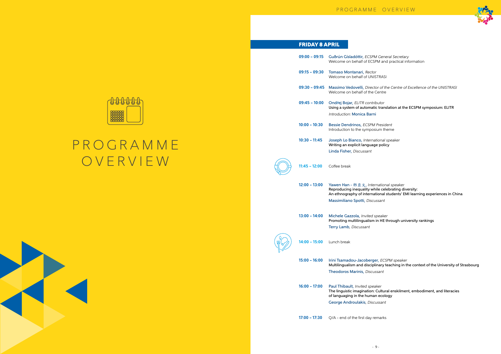## **P R O G R A M M E** OVERVIEW







General Secretary and practical information

r of the Centre of Excellence of the UNISTRASI entre

translation at the ECSPM symposium: ELITR

resident Im theme

onal speaker policy

ational speaker e celebrating diversity: onal students' EMI learning experiences in China sant

**Promotion multimizing** multiplies in HE through university rankings

**ECSPM** speaker ary teaching in the context of the University of Strasbourg

ultural enskilment, embodiment, and literacies ecology

### FRIDAY 8 APRIL

| $09:00 - 09:15$ | Guðrún Gísladóttir, ECSPM Gene<br>Welcome on behalf of ECSPM and                                                                                   |
|-----------------|----------------------------------------------------------------------------------------------------------------------------------------------------|
| $09:15 - 09:30$ | Tomaso Montanari, Rector<br>Welcome on behalf of UNISTRASI                                                                                         |
| $09:30 - 09:45$ | Massimo Vedovelli, Director of th<br>Welcome on behalf of the Centre                                                                               |
| $09:45 - 10:00$ | Ondřej Bojar, ELITR contributor<br>Using a system of automatic transl                                                                              |
|                 | <b>Introduction: Monica Barni</b>                                                                                                                  |
| $10:00 - 10:30$ | <b>Bessie Dendrinos, ECSPM Preside</b><br>Introduction to the symposium the                                                                        |
| $10:30 - 11:45$ | Joseph Lo Bianco, International s<br>Writing an explicit language polic                                                                            |
|                 | Linda Fisher, Discussant                                                                                                                           |
| $11:45 - 12:00$ | Coffee break                                                                                                                                       |
| $12:00 - 13:00$ | Yawen Han - 韩亚文, Internationa<br>Reproducing inequality while cele<br>An ethnography of international s                                            |
|                 | Massimiliano Spotti, Discussant                                                                                                                    |
| $13:00 - 14:00$ | Michele Gazzola, Invited speaker<br>Promoting multilingualism in HE tl                                                                             |
|                 | <b>Terry Lamb, Discussant</b>                                                                                                                      |
| l:00 – 15:00    | Lunch break                                                                                                                                        |
| $15:00 - 16:00$ | <b>Irini Tsamadou-Jacoberger, ECS</b><br>Multilingualism and disciplinary te<br>Theodoros Marinis, Discussant                                      |
| $16:00 - 17:00$ | <b>Paul Thibault, Invited speaker</b><br>The linguistic imagination: Cultura<br>of languaging in the human ecolo<br>George Androulakis, Discussant |
|                 |                                                                                                                                                    |
| 17:00 - 17:30   | Q/A - end of the first day remarks                                                                                                                 |

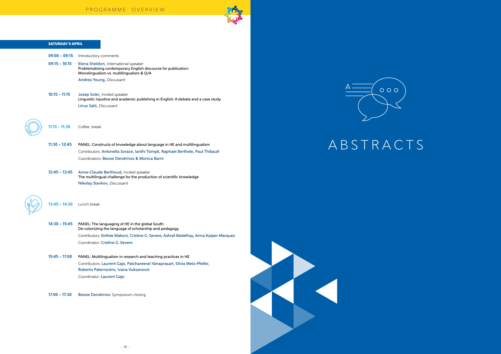

### SATURDAY 9 APRIL

| $09:00 - 09:15$ | Introductory comments                                                                                                                              |  |
|-----------------|----------------------------------------------------------------------------------------------------------------------------------------------------|--|
| $09:15 - 10:15$ | Elena Sheldon, International speaker<br>Problematising contemporary English discourse for publication:<br>Monolingualism vs. multilingualism & Q/A |  |
|                 | Andrea Young, Discussant                                                                                                                           |  |
|                 |                                                                                                                                                    |  |
| $10:15 - 11:15$ | Josep Soler, Invited speaker<br>Linguistic injustice and academic publishing in English: A debate and a case study                                 |  |
|                 | Linus Salö, Discussant                                                                                                                             |  |
|                 |                                                                                                                                                    |  |
|                 |                                                                                                                                                    |  |
| $11:15 - 11:30$ | Coffee break                                                                                                                                       |  |
|                 |                                                                                                                                                    |  |
| $11:30 - 12:45$ | PANEL: Constructs of knowledge about language in HE and multilingualism                                                                            |  |
|                 | Contributors: Antonella Sorace, Ianthi Tsimpli, Raphael Berthele, Paul Thibault                                                                    |  |
|                 | Coordinators: Bessie Dendrinos & Monica Barni                                                                                                      |  |
| $12:45 - 13:45$ | Anne-Claude Berthoud, Invited speaker                                                                                                              |  |
|                 | The multilingual challenge for the production of scientific knowledge                                                                              |  |
|                 | Nikolay Slavkov, Discussant                                                                                                                        |  |
|                 |                                                                                                                                                    |  |
| $13:45 - 14:30$ | Lunch break                                                                                                                                        |  |
|                 |                                                                                                                                                    |  |
|                 |                                                                                                                                                    |  |
| $14:30 - 15:45$ | PANEL: The languaging of HE in the global South:<br>De-colonizing the language of scholarship and pedagogy                                         |  |
|                 | Contributors: Sinfree Makoni, Cristine G. Severo, Ashraf Abdelhay, Anna Kaiper-Marquez                                                             |  |
|                 | Coordinator: Cristine G. Severo                                                                                                                    |  |
| $15:45 - 17:00$ | PANEL: Multilingualism in research and teaching practices in HE                                                                                    |  |
|                 | Contributors: Laurent Gajo, Patchareerat Yanaprasart, Sílvia Melo-Pfeifer,                                                                         |  |
|                 | Roberto Paternostro, Ivana Vuksanović                                                                                                              |  |
|                 | Coordinator: Laurent Gajo                                                                                                                          |  |
|                 |                                                                                                                                                    |  |
| $17:00 - 17:30$ | Bessie Dendrinos: Symposium closing                                                                                                                |  |
|                 |                                                                                                                                                    |  |





## A B S T R A C T S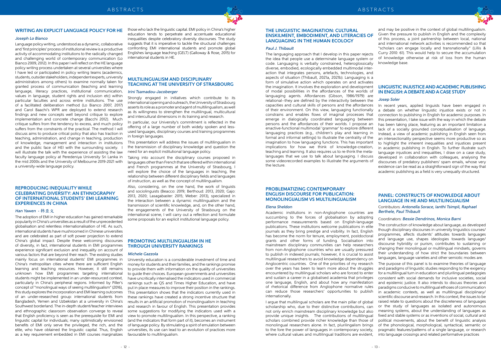

#### **WRITING AN EXPLICIT LANGUAGE POLICY FOR HE**

#### Joseph Lo Bianco

Language policy writing, understood as a dynamic, collaborative and 'first principles' process of institutional review is a productive activity of accommodating institutions to the radically changed and challenging world of contemporary communication (Lo Bianco 2009, 2012). In this paper I will reflect on the HE language policy writing process undertaken at several universities where I have led or participated in policy writing teams (academics, students, outsider stakeholders, independent experts, university administrators among others) to examine normally taken for granted process of communication (teaching and learning language, literacy practices, institutional communication, values in language, student rights and inclusion etc) within particular faculties and across entire institutions. The use of a facilitated deliberation method (Lo Bianco 2007, 2017) and Carol Baachi's WPR are deployed to extend research findings and new concepts well beyond critique to explore implementation and concrete change (Bacchi 2012). Much critique suffers from the tendency to excess, and much policy suffers from the constraints of the practical. The method I will discuss aims to produce critical policy that also has traction in teaching, administration, and change in teaching, production of knowledge, management and interaction in institutions and the public face of HEI with the surrounding society. I will illustrate the talk with the experience of assisting the law faculty language policy at Peredeniya University Sri Lanka in the mid 2000s and the University of Melbourne 2019-2021 with a university-wide language policy.

#### **REPRODUCING INEQUALITY WHILE CELEBRATING DIVERSITY: AN ETHNOGRAPHY OF INTERNATIONAL STUDENTS' EMI LEARNING EXPERIENCES IN CHINA**

#### Han Yawen - 韩亚文

The adoption of EMI in higher education has gained remarkable popularity in China's universities as a result of the unprecedented globalisation and relentless internationalisation of HE. As such, international students have mushroomed in Chinese universities and are celebrated as part of soft power projection to extend China's global impact. Despite these welcoming discourses of diversity, in fact, international students in EMI programmes experience significant exclusion and inequality on account of various factors that are beyond their reach. The existing studies mainly focus on international students' EMI programmes in China's metropolitan cities where there are sufficient English learning and teaching resources. However, it still remains unknown how EMI programmes targeting international students might be implemented in an under-resourced context, particularly in China's peripheral regions. Informed by Piller's concept of "monolingual ways of seeing multilingualism" (2016), this study explores the incorporation and EMI learning outcomes of an under-researched group: international students from Bangladesh, Yemen and Uzbekistan at a university in China's Southwest borderland. The in-depth student/teacher interviews and ethnographic classroom observation converge to reveal that English proficiency is seen as the prerequisite for EMI and linguistic capital for individuals; many optimistically envisioned benefits of EMI only serve the privileged, the rich, and the elite, who have obtained the linguistic capital. Thus, English as a key requirement embedded in EMI courses marginalizes

those who lack the linguistic capital. EMI policy in China's higher education tends to perpetrate and accentuate educational inequalities despite celebratory diversity discourses. The study suggests that it is imperative to tackle the structural challenges confronting EMI international students and promote global Englishes language teaching (GELT) (Galloway & Rose, 2015) for international students in HE.

### **MULTILINGUALISM AND DISCIPLINARY TEACHING AT THE UNIVERSITY OF STRASBOURG**

#### Irini Tsamadou-Jacoberger

Strongly engaged in initiatives which contribute to its international opening and outreach, the University of Strasbourg asserts its role as a promoter and agent of multilingualism, as well as its willingness to strengthen the multilingual, multicultural and intercultural dimensions in its training and research.

In particular, our University's commitment is reflected in the offering of a large number of both widely spoken and lessused languages, disciplinary courses and training programmes in foreign languages.

This presentation will address the issues of multilingualism in the transmission of disciplinary knowledge and question the need for an explicit institutional language policy.

Taking into account the disciplinary courses proposed in languages other than French that are offered within international and French programmes at the University of Strasbourg, I will explore the choice of the languages in teaching, the relationship between different disciplinary fields and languages of instruction, as well as the concept of multilingualism.

Also, considering, on the one hand, the work of linguists and sociolinguists (Beacco: 2019; Berthoud: 2013, 2020; Gajo: 2013, 2020; Lasagabaster: 2015; Weber: 2013), specialized in the interaction between a dynamic multilingualism and the transmission of scientific knowledge, and, on the other hand, the engagements of the University of Strasbourg on the international scene, I will carry out a reflection and formulate some proposals for an explicit institutional language policy.

#### **PROMOTING MULTILINGUALISM IN HE THROUGH UNIVERSITY RANKINGS**

#### Michele Gazzola

University education is a considerable investment of time and money for students and their families, and the rankings promise to provide them with information on the quality of universities to guide their choices. European governments and universities have uncritically internalised the indicators used in commercial rankings such as QS and Times Higher Education, and have put in place measures to improve their position in the rankings. This presentation shows that the indicators currently used in these rankings have created a strong incentive structure that results in an artificial promotion of monolingualism in teaching and research in favour of English. This presentation provides some suggestions for modifying the indicators used with a view to promote multilingualism. In this perspective, a ranking (and the indicators that form part of it), becomes an instrument of language policy. By stimulating a spirit of emulation between universities, its use can lead to an evolution of practices more favourable to multilingualism.

#### **THE LINGUISTIC IMAGINATION: CULTURAL ENSKILMENT, EMBODIMENT, AND LITERACIES OF LANGUAGING IN THE HUMAN ECOLOGY**

#### Paul J. Thibault

#### **PROBLEMATIZING CONTEMPORARY ENGLISH DISCOURSE FOR PUBLICATION: MONOLINGUALISM VS MULTILINGUALISM**

#### Elena Sheldon

The languaging approach that I develop in this paper rejects the idea that people use a determinate language system or code. Languaging is verbally constrained, heteroglossically diverse, embodied, ecologically embedded multimodal interaction that integrates persons, artefacts, technologies, and aspects of situation (Thibault, 2021a, 2021b). Languaging is a form of simulative action which operates on and activates the imagination. It involves the exploration and development of modal possibilities in the affordances of the worlds of languaging agents. Affordances (Gibson, 1986/1979) are relational--they are defined by the interactivity between the capacities and cultural skills of persons and the affordances of their environment. On this view, languaging functionally constrains and enables flows of imaginal processes that emerge in dialogically coordinated languaging between persons and the affordances of their worlds. I propose an enactive-functional multimodal 'grammar' to explore different languaging practices (e.g., children's play and learning in formal and informal settings) to illustrate the centrality of the imagination to how languaging functions. This has important implications for how we think of knowledge-creation, teaching and learning. It also requires us to re-think the metalanguages that we use to talk about languaging. I discuss some videorecorded examples to illustrate the arguments of the lecture. of knowledge otherwise at risk of loss from the human knowledge base. **LINGUISTIC INJUSTICE AND ACADEMIC PUBLISHING IN ENGLISH: A DEBATE AND A CASE STUDY** Josep Soler In recent years, applied linguists have been engaged in a debate on whether linguistic injustice exists or not in connection to publishing in English for academic purposes. In this presentation, I take issue with the way in which the debate has been taking place, featuring as an important limitation a lack of a socially grounded conceptualisation of language. Instead, a view of academic publishing in English seen from an intersectionality perspective seems more productive so as to highlight the inherent inequalities and injustices present in academic publishing in English. To further illustrate such language injustices and inequalities, I draw on a case study, developed in collaboration with colleagues, analysing the discourses of predatory publishers' spam emails, whose very existence can be read as a straightforward sign of the way that academic publishing as a field is very unequally structured.

where cultural values and multilingual traditions are evident,

and may be positive in the context of global multilingualism. Given the pressure to publish in English and the complexity of this process, a joint partnership between local, national and international network activities is recommended so that "scholars can engage locally and transnationally" (Lillis & Curry 2010: 61). This would help to secure the accumulation

Academic institutions in non-Anglophone countries are succumbing to the forces of globalisation by adopting performance measurements based on English-language publications. These institutions welcome publications in elite journals as they bring prestige and visibility. In fact, English has become the norm for tenure, employment, postdoctoral grants and other forms of funding. Socialisation into mainstream disciplinary communities can help researchers from non-Anglophone countries who are usually pressured to publish in indexed journals; however, it is crucial to assist multilingual researchers to avoid knowledge dependency on Anglocentric countries. One of the priorities of my research over the years has been to learn more about the struggles encountered by multilingual scholars who are forced to enter and sustain a career in a globalised academia that privileges one language, English, and about how any manifestation of rhetorical difference from Anglophone normative rules can reduce those researchers' opportunities to publish internationally. I argue that multilingual scholars are the main pillar of global scholarship who, due to their distinctive contributions, can not only enrich mainstream disciplinary knowledge but also provide unique insights. The contributions of multilingual scholars combined provide richer knowledge than those of monolingual researchers alone. In fact, plurilingalism brings to the fore the power of languages in contemporary society, Coordinators: Bessie Dendrinos, Monica Barni The construction of knowledge about language, as developed though disciplinary discourses in university linguistics courses/ programmes, affects students' attitudes towards languages and language use, shapes ideologies towards language/ discourse hybridity or purism, contributes to sustaining or changing their monolingual or multilingual mindsets, governs their understanding of how strict the boundaries between languages, language varieties and other semiotic modes are. The purpose of this panel is to examine theories of language and paradigms of linguistic studies responding to the exigency for a multilingual turn in education and plurilingual pedagogies consistent with social demands for inclusive societies, social and epistemic justice. It also intends to discuss theories and paradigms conducive to multilingual ethoses of communication in academic contexts, as well as multilingual disciplinary/ scientific discourse and research. In this context, the issues to be raised relate to questions about the discreteness of languages or the study of languages as isolated and autonomous meaning systems, about the understanding of languages as fixed and stable systems or as inventions of social, cultural and political movements, about the benefit of linguistic analysis of the phonological, morphological, syntactical, semantic or pragmatic features/patterns of a single language, or research into language crossings and related performative practices

### **PANEL: CONSTRUCTS OF KNOWLEDGE ABOUT LANGUAGE IN HE AND MULTILINGUALISM**

Contributors: Antonella Sorace, Ianthi Tsimpli, Raphael Berthele, Paul Thibault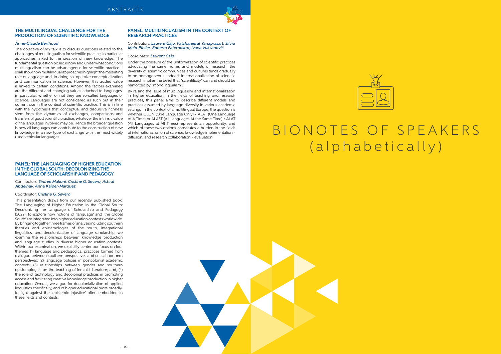

#### **THE MULTILINGUAL CHALLENGE FOR THE PRODUCTION OF SCIENTIFIC KNOWLEDGE**

#### Anne-Claude Berthoud

The objective of my talk is to discuss questions related to the challenges of multilingualism for scientific practice, in particular approaches linked to the creation of new knowledge. The fundamental question posed is how and under what conditions multilingualism can be advantageous for scientific practice. I shall show how multilingual approaches highlight the mediating role of language and, in doing so, optimize conceptualization and communication in science. However, this added value is linked to certain conditions. Among the factors examined are the different and changing values attached to languages, in particular, whether or not they are so-called languages of science. Languages are not considered as such but in their current use in the context of scientific practice. This is in line with the hypothesis that conceptual and discursive richness stem from the dynamics of exchanges, comparisons and transfers of good scientific practice, whatever the intrinsic value of the languages involved may be. Hence the broader question is how all languages can contribute to the construction of new knowledge in a new type of exchange with the most widely used vehicular languages.

#### **PANEL: THE LANGUAGING OF HIGHER EDUCATION IN THE GLOBAL SOUTH: DECOLONIZING THE LANGUAGE OF SCHOLARSHIP AND PEDAGOGY**

#### Contributors: Sinfree Makoni, Cristine G. Severo, Ashraf Abdelhay, Anna Kaiper-Marquez

#### Coordinator: Cristine G. Severo

## B I O N O T E S O F S P E A K E R S (alphabetically)

This presentation draws from our recently published book, The Languaging of Higher Education in the Global South: Decolonizing the Language of Scholarship and Pedagogy (2022), to explore how notions of 'language' and 'the Global South' are integrated into higher education contexts worldwide. By bringing together three frames of analysis including southern theories and epistemologies of the south, integrational linguistics, and decolonization of language scholarship, we examine the relationships between knowledge production and language studies in diverse higher education contexts. Within our examination, we explicitly center our focus on four themes: (1) language and pedagogical practices formed from dialogue between southern perspectives and critical northern perspectives; (2) language policies in postcolonial academic contexts; (3) relationships between gender and southern epistemologies on the teaching of feminist literature; and, (4) the role of technology and decolonial practices in promoting access and facilitating creative knowledge production in higher education. Overall, we argue for decolonialization of applied linguistics specifically, and of higher educational more broadly, to fight against the 'epistemic injustice' often embedded in these fields and contexts.

#### **PANEL: MULTILINGUALISM IN THE CONTEXT OF RESEARCH PRACTICES**

#### Contributors: Laurent Gajo, Patchareerat Yanaprasart, Sílvia Melo-Pfeifer, Roberto Paternostro, Ivana Vuksanovi*ć*

#### Coordinator: Laurent Gajo

Under the pressure of the uniformization of scientific practices advocating the same norms and models of research, the diversity of scientific communities and cultures tends gradually to be homogeneous. Indeed, internationalization of scientific research implies the belief that "scientificity" can and should be reinforced by "monolingualism".

By raising the issue of multilingualism and internationalization in higher education in the fields of teaching and research practices, this panel aims to describe different models and practices assumed by language diversity in various academic settings. In the context of a multilingual Europe, the question is whether OLON (One Language Only) / ALAT (One Language At A Time) or ALAST (All Languages At the Same Time) / ALAT (All Languages at All Times) represents an opportunity, and which of these two options constitutes a burden in the fields of internationalization of science, knowledge implementation – diffusion, and research collaboration – evaluation.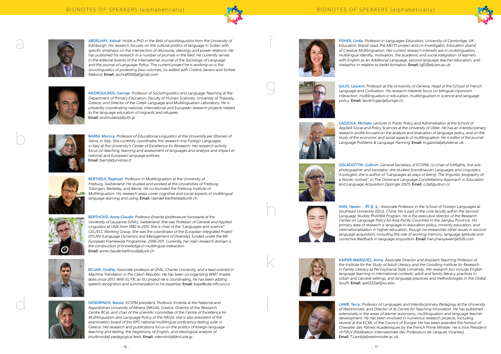



ABDELHAY, Ashraf: Holds a PhD in the field of sociolinguistics from the University of Edinburgh. His research focuses on the cultural politics of language in Sudan with specific emphasis on the intersection of discourse, ideology and power relations. He has published his research in a number of journals in the field. He currently serves in the editorial boards of the International Journal of the Sociology of Language and the journal of Language Policy. The current project he is working on is the sociolinguistics of protesting (two volumes, co-edited with Cristine Severo and Sinfree Makoni). Email: aschraff200[at]gmail.com



BARNI, Monica: Professor of Educational Linguistics at the Università per Stranieri of Siena, in Italy. She currently coordinates the research line Foreign Languages in Italy at the University's Center of Excellence for Research. Her research activity focus on teaching, learning and assessment of languages and analysis and impact of national and European language policies. Email: barnilatlunistrasi.it



a<br>d<br>d

BERTHELE, Raphael: Professor in Multilingualism at the University of Freiburg, Switzerland. He studied and worked at the Universities of Freiburg, Tübingen, Berkeley, and Berne. He co-founded the Freiburg Institute of Multilingualism. His research areas cover cognitive and social aspects of multilingual language learning and using. Email: raphael.berthele[at]unifr.ch



ANDROULAKIS, George: Professor of Sociolinguistics and Language Teaching at the Department of Primary Education, Faculty of Human Sciences, University of Thessaly, Greece, and Director of the Greek Language and Multilingualism Laboratory. He is presently coordinating national, international and European research projects related to the language education of migrants and refugees. Email: androulakis[at]uth.gr



BOJAR, Ond **ř**ej: Associate professor at ÚFAL, Charles University, and a lead scientist in Machine Translation in the Czech Republic. He has been co-organizing WMT shared tasks since 2013. With ELITR, an EU project he is coordinating, he has been adding speech recognition and summarization to his expertise. Email: bojar@ufal.mff.cuni.cz



GAZZOLA, Michele: Lecturer in Public Policy and Administration at the School of Applied Social and Policy Sciences at the University of Ulster. He has an interdisciplinary research profile focused on the analysis and evaluation of language policy, and on the study of the economic and social aspects of multilingualism. He is editor of the journal Language Problems & Language Planning. Email: m.gazzola[at]ulster.ac.uk





HAN, Yawen - 韩亚文: Associate Professor in the School of Foreign Languages at Southeast University (SEU), China. He is part of the core faculty within the Second Language Studies Phd/MA Program. He is the executive director of the Research Center on Language Policy for Asia-Pacific Countries in the Jiangsu Province. His primary area of research is language-in-education policy, minority education, and internationalization in higher education, though he researches other issues in second language acquisition, including the role of working memory, language aptitude and corrective feedback in language acquisition. Email: harryhanyawen[at]126.com



BERTHOUD, Anne-Claude: Professor Emerita (professeure honoraire) at the University of Lausanne (UNIL), Switzerland. She was Professor of General and Applied Linguistics at UNIL from 1982 to 2015. She is chair of the "Languages and science" CEL/ELC Working Group. She was the coordinator of the European Integrated Project DYLAN (Language Dynamics and Management of Diversity), funded under the 6th European Framework Programme, 2006-2011. Currently, her main research domain is the construction of knowledge in multilingual interaction. Email: anne-claude.berthoud[at]unil.ch



DENDRINOS, Bessie: ECSPM president, Professor Emerita at the National and Kapodistrian University of Athens (NKUA), Greece. Director of the Research Centre RCeL and chair of the scientific committee of the Centre of Excellence for Multilingualism and Language Policy of the NKUA, she is also president of the examination board of the KPG national multilingual proficiency testing suite in Greece. Her research and publications focus on the politics of foreign language teaching and testing, the hegemony of English, and ideological analysis of (multimodal) pedagogical texts. Email: vdendrin[at]enl.uoa.gr



FISHER, Linda: Professor in Languages Education, University of Cambridge, UK<br>
Education Stand Least fire METS project and co-threshop are in multilingualsem<br>
multilingualsem multipliers and encounter the current research i Education Strand Lead, the MEITS project and co-investigator, Education strand of Creative Multilingualism. Her current research interests are in multilingualism, multilingual identity, motivation, the academic and social integration of learners with English as an Additional Language, second language teacher education, and metaphor in relation to belief formation. Email: lgf20[at]cam.ac.uk





GAJO, Laurent: Professor at the University of Geneva, Head of the School of French Language and Civilization. His research interests focus on bilingual classroom interaction, multilingualism in education, multilingualism in science and language policy. Email: laurent.gajo[at]unige.ch



GÍSLADÓTTIR, Guðrún: General Secretary of ECSPM, co-chair of EARights, fine arts photographer and translator, she studied Scandinavian Languages and Linguistics. A polyglot, she is author of "Languages as ways of being: The linguistic biography of a Nordic nomad", in The Dominant Language Constellations Approach in Education and Language Acquisition (Springer 2021). Email: cc[at]gudrun.cc

KAIPER-MARQUEZ, Anna: Associate Director and Assistant Teaching Professor of the Institute for the Study of Adult Literacy and the Goodling Institute for Research in Family Literacy at Pennsylvania State University. Her research foci include English language learning in international contexts, adult and family literacy practices in urban and carceral settings, and language practices and methodologies in the Global South. Email: axk1222[at]psu.edu



LAMB, Terry: Professor of Languages and Interdisciplinary Pedagogy at the University of Westminster, and Director of its Centre for Teaching Innovation. He has published extensively in the areas of learner autonomy, multilingualism and language teacher development. He has been involved in numerous research projects, including several at the ECML of the Council of Europe. He has been awarded the honour of Chevalier des Palmes Académiques by the French Prime Minister. He is Vice President of FIPLV (Fédération Internationale des Professeurs de Langues Vivantes). Email: T.Lamb[at]westminster.ac.uk

b

lk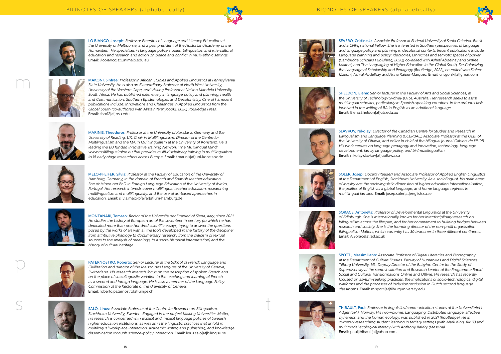



LO BIANCO, Joseph: Professor Emeritus of Language and Literacy Education at the University of Melbourne, and a past president of the Australian Academy of the Humanities. He specialises in language policy studies, bilingualism and intercultural education and research and action on peace and conflict in multi-ethnic settings. Email: j.lobianco[at]unimelb.edu.au



MAKONI, Sinfree: Professor in African Studies and Applied Linguistics at Pennsylvania State University. He is also an Extraordinary Professor at North West University, University of the Western Cape, and Visiting Professor at Nelson Mandela University, South Africa. He has published extensively in language policy and planning, health and Communication, Southern Epistemologies and Decoloniality. One of his recent publications include: Innovations and Challenges in Applied Linguistics from the Global South (co-authored with Alistair Pennycook), 2020, Routledge Press. Email: sbm12[at]psu.edu



MARINIS, Theodoros: Professor at the University of Konstanz, Germany and the University of Reading, UK, Chair in Multilingualism, Director of the Centre for Multilingualism and the MA in Multilingualism at the University of Konstanz. He is leading the EU funded Innovative Training Network 'The Multilingual Mind' www.multilingualmind.eu that provides multi-disciplinary training in multilingualism to 15 early-stage researchers across Europe. Email: t.marinis[at]uni-konstanz.de



MELO-PFEIFER, Sílvia: Professor at the Faculty of Education of the University of Hamburg, Germany, in the domain of French and Spanish teacher education. She obtained her PhD in Foreign Language Education at the University of Aveiro, Portugal. Her research interests cover multilingual teacher education, researching multilingualism and multilinguality, and the use of art-based approaches in education. Email: silvia.melo-pfeifer[at]uni-hamburg.de



MONTANARI, Tomaso: Rector of the Università per Stranieri of Siena, Italy, since 2021. He studies the history of European art of the seventeenth century (to which he has dedicated more than one hundred scientific essays, trying to answer the questions posed by the works of art with all the tools developed in the history of the discipline: from attributive philology to documentary research, from the criticism of textual sources to the analysis of meanings, to a socio-historical interpretation) and the history of cultural heritage.



PATERNOSTRO, Roberto: Senior Lecturer at the School of French Language and Civilization and director of the Maison des Langues of the University of Geneva, Switzerland. His research interests focus on the description of spoken French and on the place of sociolinguistic variation in the teaching and learning of French as a second and foreign language. He is also a member of the Language Policy Commission of the Rectorate of the University of Geneva. Email: roberto.paternostro[at]unige.ch



SALÖ, Linus: Associate Professor at the Centre for Research on Bilingualism, Stockholm University, Sweden. Engaged in the project Making Universities Matter, his research is concerned with explicit and implicit language policies of Swedish higher education institutions, as well as in the linguistic practices that unfold in multilingual workplace interaction, academic writing and publishing, and knowledge dissemination through science-policy interaction. Email: linus.salo[at]biling.su.se



SPOTTI, Massimiliano: Associate Professor of Digital Literacies and Ethnography at the Department of Culture Studies, Faculty of Humanities and Digital Sciences, Tilburg University, NL. Deputy Director of the Babylon Centre for the Study of Superdiversity at the same institution and Research Leader of the Programme Rapid Social and Cultural Transformations Online and Offline. His research has recently focused on asylum-seeking practices, the implications of socio-technological digital platforms and the processes of inclusion/exclusion in Dutch second language classrooms. Email: m.spottifathtilburguniversity.edu



SEVERO, Cristine J.: Associate Professor at Federal University of Santa Catarina, Brazil and a CNPq national Fellow. She is interested in Southern perspectives of language and language policy and planning in decolonial contexts. Recent publications include: Language planning and policy: Ideologies, Ethnicities and semiotic spaces of power (Cambridge Scholars Publishing, 2020), co-edited with Ashraf Abdelhay and Sinfree Makoni; and The Languaging of Higher Education in the Global South, De-Colonizing the Language of Scholarship and Pedagogy (Routledge, 2022), co-edited with Sinfree Makoni, Ashraf Abdelhay and Anna Kaiper-Marquez. Email: crisgorski[at]gmail.com



SHELDON, Elena: Senior lecturer in the Faculty of Arts and Social Sciences, at the University of Technology Sydney (UTS), Australia. Her research seeks to assist multilingual scholars, particularly in Spanish-speaking countries, in the arduous task involved in the writing of RA in English as an additional language. Email: Elena.Sheldon[at]uts.edu.au

SLAVKOV, Nikolay: Director of the Canadian Centre for Studies and Research in Bilingualism and Language Planning (CCERBAL), Associate Professor at the OLBI of the University of Ottawa, and editor in chief of the bilingual journal Cahiers de l'ILOB. His work centres on language pedagogy and innovation, technology, language development, family language policy, and bi-/multilingualism.



Email: nikolay.slavkov[at]uottawa.ca



SOLER, Josep: Docent (Reader) and Associate Professor of Applied English Linguistics at the Department of English, Stockholm University. As a sociolinguist, his main areas of inquiry are: the sociolinguistic dimension of higher education internationalisation, the politics of English as a global language, and home language regimes in multilingual families. Email: josep.soler[at]english.su.se

SORACE, Antonella: Professor of Developmental Linguistics at the University of Edinburgh. She is internationally known for her interdisciplinary research on bilingualism across the lifespan, and for her commitment to building bridges between research and society. She is the founding director of the non-profit organisation Bilingualism Matters, which currently has 30 branches in three different continents.



Email: A.Sorace[at]ed.ac.uk

THIBAULT, Paul: Professor in linguistics/communication studies at the Universitetet i Adger (UiA), Norway. His two-volume, Languaging: Distributed language, affective dynamics, and the human ecology, was published in 2021 (Routledge). He is currently researching student learning in tertiary settings (with Mark King, RMIT) and multimodal ecological literacy (with Anthony Baldry (Messina). Email: pauljthibault[at]yahoo.com

t

m

p

s